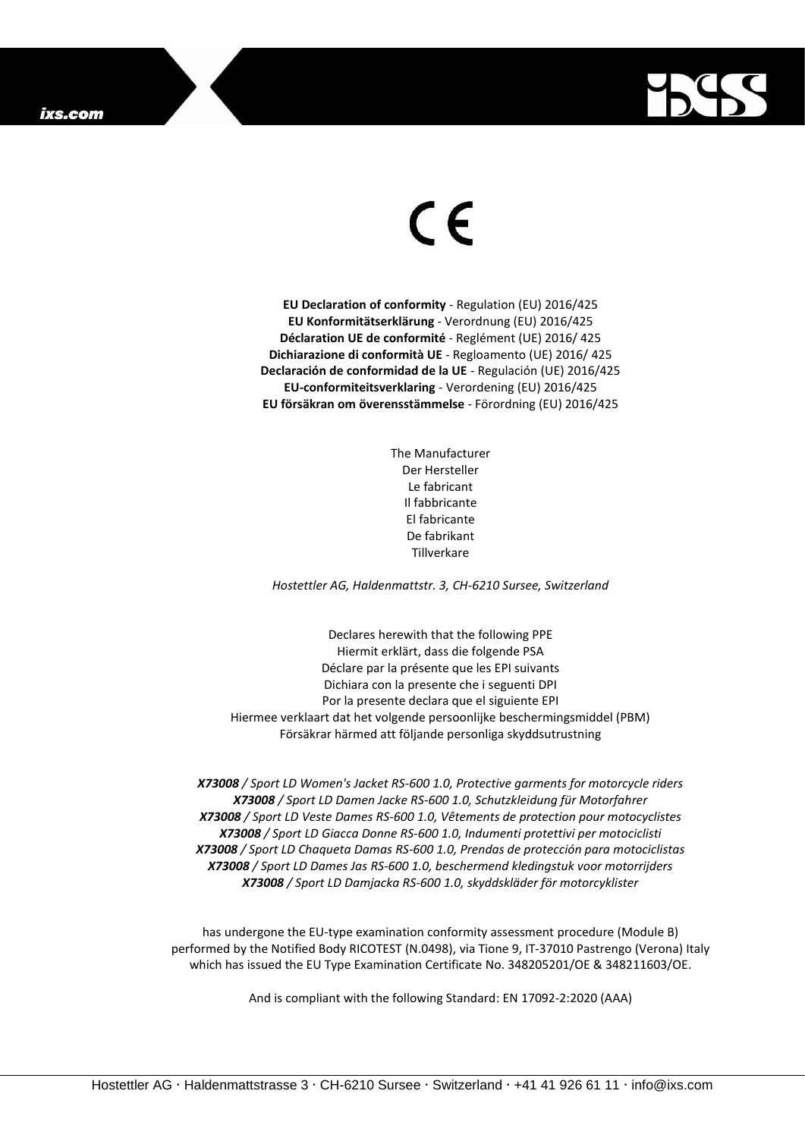

## $\epsilon$

**EU Declaration of conformity** - Regulation (EU) 2016/425 **EU Konformitätserklärung** - Verordnung (EU) 2016/425 **Déclaration UE de conformité** - Reglément (UE) 2016/ 425 **Dichiarazione di conformità UE** - Regloamento (UE) 2016/ 425 **Declaración de conformidad de la UE** - Regulación (UE) 2016/425 **EU-conformiteitsverklaring** - Verordening (EU) 2016/425 **EU försäkran om överensstämmelse** - Förordning (EU) 2016/425

> The Manufacturer Der Hersteller Le fabricant Il fabbricante El fabricante De fabrikant Tillverkare

*Hostettler AG, Haldenmattstr. 3, CH-6210 Sursee, Switzerland*

Declares herewith that the following PPE Hiermit erklärt, dass die folgende PSA Déclare par la présente que les EPI suivants Dichiara con la presente che i seguenti DPI Por la presente declara que el siguiente EPI Hiermee verklaart dat het volgende persoonlijke beschermingsmiddel (PBM) Försäkrar härmed att följande personliga skyddsutrustning

*X73008 / Sport LD Women's Jacket RS-600 1.0, Protective garments for motorcycle riders X73008 / Sport LD Damen Jacke RS-600 1.0, Schutzkleidung für Motorfahrer X73008 / Sport LD Veste Dames RS-600 1.0, Vêtements de protection pour motocyclistes X73008 / Sport LD Giacca Donne RS-600 1.0, Indumenti protettivi per motociclisti X73008 / Sport LD Chaqueta Damas RS-600 1.0, Prendas de protección para motociclistas X73008 / Sport LD Dames Jas RS-600 1.0, beschermend kledingstuk voor motorrijders X73008 / Sport LD Damjacka RS-600 1.0, skyddskläder för motorcyklister*

has undergone the EU-type examination conformity assessment procedure (Module B) performed by the Notified Body RICOTEST (N.0498), via Tione 9, IT-37010 Pastrengo (Verona) Italy which has issued the EU Type Examination Certificate No. 348205201/OE & 348211603/OE.

And is compliant with the following Standard: EN 17092-2:2020 (AAA)